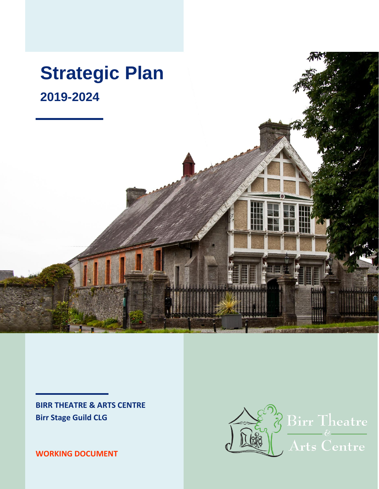

**BIRR THEATRE & ARTS CENTRE Birr Stage Guild CLG**

**WORKING DOCUMENT**

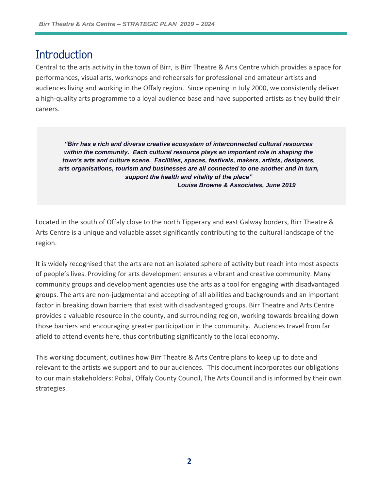### **Introduction**

Central to the arts activity in the town of Birr, is Birr Theatre & Arts Centre which provides a space for performances, visual arts, workshops and rehearsals for professional and amateur artists and audiences living and working in the Offaly region. Since opening in July 2000, we consistently deliver a high-quality arts programme to a loyal audience base and have supported artists as they build their careers.

*"Birr has a rich and diverse creative ecosystem of interconnected cultural resources within the community. Each cultural resource plays an important role in shaping the town's arts and culture scene. Facilities, spaces, festivals, makers, artists, designers, arts organisations, tourism and businesses are all connected to one another and in turn, support the health and vitality of the place" Louise Browne & Associates, June 2019*

Located in the south of Offaly close to the north Tipperary and east Galway borders, Birr Theatre & Arts Centre is a unique and valuable asset significantly contributing to the cultural landscape of the region.

It is widely recognised that the arts are not an isolated sphere of activity but reach into most aspects of people's lives. Providing for arts development ensures a vibrant and creative community. Many community groups and development agencies use the arts as a tool for engaging with disadvantaged groups. The arts are non-judgmental and accepting of all abilities and backgrounds and an important factor in breaking down barriers that exist with disadvantaged groups. Birr Theatre and Arts Centre provides a valuable resource in the county, and surrounding region, working towards breaking down those barriers and encouraging greater participation in the community. Audiences travel from far afield to attend events here, thus contributing significantly to the local economy.

This working document, outlines how Birr Theatre & Arts Centre plans to keep up to date and relevant to the artists we support and to our audiences. This document incorporates our obligations to our main stakeholders: Pobal, Offaly County Council, The Arts Council and is informed by their own strategies.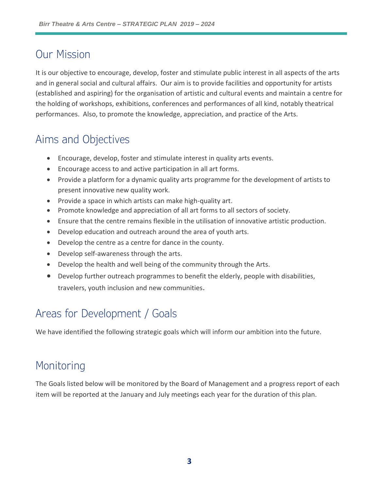# Our Mission

It is our objective to encourage, develop, foster and stimulate public interest in all aspects of the arts and in general social and cultural affairs. Our aim is to provide facilities and opportunity for artists (established and aspiring) for the organisation of artistic and cultural events and maintain a centre for the holding of workshops, exhibitions, conferences and performances of all kind, notably theatrical performances. Also, to promote the knowledge, appreciation, and practice of the Arts.

# Aims and Objectives

- Encourage, develop, foster and stimulate interest in quality arts events.
- Encourage access to and active participation in all art forms.
- Provide a platform for a dynamic quality arts programme for the development of artists to present innovative new quality work.
- Provide a space in which artists can make high-quality art.
- Promote knowledge and appreciation of all art forms to all sectors of society.
- Ensure that the centre remains flexible in the utilisation of innovative artistic production.
- Develop education and outreach around the area of youth arts.
- Develop the centre as a centre for dance in the county.
- Develop self-awareness through the arts.
- Develop the health and well being of the community through the Arts.
- Develop further outreach programmes to benefit the elderly, people with disabilities, travelers, youth inclusion and new communities.

# Areas for Development / Goals

We have identified the following strategic goals which will inform our ambition into the future.

## Monitoring

The Goals listed below will be monitored by the Board of Management and a progress report of each item will be reported at the January and July meetings each year for the duration of this plan.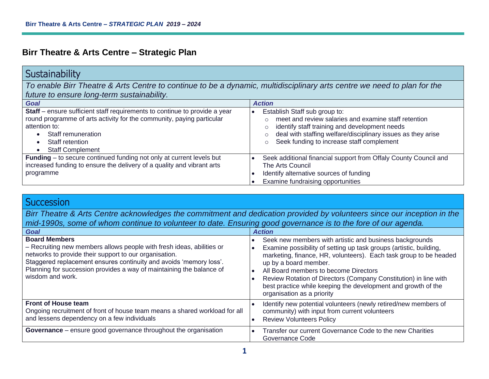#### **Birr Theatre & Arts Centre – Strategic Plan**

#### **Sustainability**

*To enable Birr Theatre & Arts Centre to continue to be a dynamic, multidisciplinary arts centre we need to plan for the future to ensure long-term sustainability.*

| <b>Goal</b>                                                                                                                                                                                                                                                        | <b>Action</b>                                                                                                                                                                                                                                                  |
|--------------------------------------------------------------------------------------------------------------------------------------------------------------------------------------------------------------------------------------------------------------------|----------------------------------------------------------------------------------------------------------------------------------------------------------------------------------------------------------------------------------------------------------------|
| Staff - ensure sufficient staff requirements to continue to provide a year<br>round programme of arts activity for the community, paying particular<br>attention to:<br>Staff remuneration<br>Staff retention<br>$\bullet$<br><b>Staff Complement</b><br>$\bullet$ | Establish Staff sub group to:<br>meet and review salaries and examine staff retention<br>identify staff training and development needs<br>deal with staffing welfare/disciplinary issues as they arise<br>Seek funding to increase staff complement<br>$\circ$ |
| <b>Funding</b> – to secure continued funding not only at current levels but<br>increased funding to ensure the delivery of a quality and vibrant arts<br>programme                                                                                                 | Seek additional financial support from Offaly County Council and<br>The Arts Council<br>Identify alternative sources of funding<br>Examine fundraising opportunities                                                                                           |

#### **Succession**

*Birr Theatre & Arts Centre acknowledges the commitment and dedication provided by volunteers since our inception in the mid-1990s, some of whom continue to volunteer to date. Ensuring good governance is to the fore of our agenda.* 

| Goal                                                                                                                                                                                                                                                                                                                      | <b>Action</b>                                                                                                                                                                                                                                                                                                                                                                                                                           |
|---------------------------------------------------------------------------------------------------------------------------------------------------------------------------------------------------------------------------------------------------------------------------------------------------------------------------|-----------------------------------------------------------------------------------------------------------------------------------------------------------------------------------------------------------------------------------------------------------------------------------------------------------------------------------------------------------------------------------------------------------------------------------------|
| <b>Board Members</b><br>- Recruiting new members allows people with fresh ideas, abilities or<br>networks to provide their support to our organisation.<br>Staggered replacement ensures continuity and avoids 'memory loss'.<br>Planning for succession provides a way of maintaining the balance of<br>wisdom and work. | Seek new members with artistic and business backgrounds<br>Examine possibility of setting up task groups (artistic, building,<br>marketing, finance, HR, volunteers). Each task group to be headed<br>up by a board member.<br>All Board members to become Directors<br>Review Rotation of Directors (Company Constitution) in line with<br>best practice while keeping the development and growth of the<br>organisation as a priority |
| <b>Front of House team</b><br>Ongoing recruitment of front of house team means a shared workload for all<br>and lessens dependency on a few individuals                                                                                                                                                                   | Identify new potential volunteers (newly retired/new members of<br>community) with input from current volunteers<br><b>Review Volunteers Policy</b>                                                                                                                                                                                                                                                                                     |
| Governance - ensure good governance throughout the organisation                                                                                                                                                                                                                                                           | Transfer our current Governance Code to the new Charities<br>Governance Code                                                                                                                                                                                                                                                                                                                                                            |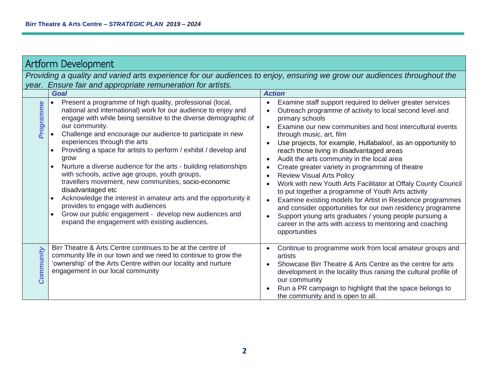| <b>Artform Development</b>                                                                                                                                                                                                                                                                                                                                                                                                                                                                                                                                                                                                                                                                                                                                                                                                            |                                                                                                                                                                                                                                                                                                                                                                                                                                                                                                                                                                                                                                                                                                                                                                                                                                                                                                                                                                            |  |
|---------------------------------------------------------------------------------------------------------------------------------------------------------------------------------------------------------------------------------------------------------------------------------------------------------------------------------------------------------------------------------------------------------------------------------------------------------------------------------------------------------------------------------------------------------------------------------------------------------------------------------------------------------------------------------------------------------------------------------------------------------------------------------------------------------------------------------------|----------------------------------------------------------------------------------------------------------------------------------------------------------------------------------------------------------------------------------------------------------------------------------------------------------------------------------------------------------------------------------------------------------------------------------------------------------------------------------------------------------------------------------------------------------------------------------------------------------------------------------------------------------------------------------------------------------------------------------------------------------------------------------------------------------------------------------------------------------------------------------------------------------------------------------------------------------------------------|--|
| Providing a quality and varied arts experience for our audiences to enjoy, ensuring we grow our audiences throughout the<br>Ensure fair and appropriate remuneration for artists.<br>year.                                                                                                                                                                                                                                                                                                                                                                                                                                                                                                                                                                                                                                            |                                                                                                                                                                                                                                                                                                                                                                                                                                                                                                                                                                                                                                                                                                                                                                                                                                                                                                                                                                            |  |
| <b>Goal</b>                                                                                                                                                                                                                                                                                                                                                                                                                                                                                                                                                                                                                                                                                                                                                                                                                           | <b>Action</b>                                                                                                                                                                                                                                                                                                                                                                                                                                                                                                                                                                                                                                                                                                                                                                                                                                                                                                                                                              |  |
| Present a programme of high quality, professional (local,<br><b>Programme</b><br>national and international) work for our audience to enjoy and<br>engage with while being sensitive to the diverse demographic of<br>our community.<br>Challenge and encourage our audience to participate in new<br>experiences through the arts<br>Providing a space for artists to perform / exhibit / develop and<br>grow<br>Nurture a diverse audience for the arts - building relationships<br>with schools, active age groups, youth groups,<br>travellers movement, new communities, socio-economic<br>disadvantaged etc<br>Acknowledge the interest in amateur arts and the opportunity it<br>provides to engage with audiences<br>Grow our public engagement - develop new audiences and<br>expand the engagement with existing audiences. | Examine staff support required to deliver greater services<br>$\bullet$<br>Outreach programme of activity to local second level and<br>$\bullet$<br>primary schools<br>Examine our new communities and host intercultural events<br>through music, art, film<br>Use projects, for example, Hullabaloo!, as an opportunity to<br>$\bullet$<br>reach those living in disadvantaged areas<br>Audit the arts community in the local area<br>$\bullet$<br>Create greater variety in programming of theatre<br>$\bullet$<br><b>Review Visual Arts Policy</b><br>$\bullet$<br>Work with new Youth Arts Facilitator at Offaly County Council<br>to put together a programme of Youth Arts activity<br>Examine existing models for Artist in Residence programmes<br>$\bullet$<br>and consider opportunities for our own residency programme<br>Support young arts graduates / young people pursuing a<br>career in the arts with access to mentoring and coaching<br>opportunities |  |
| Birr Theatre & Arts Centre continues to be at the centre of<br>Community<br>community life in our town and we need to continue to grow the<br>'ownership' of the Arts Centre within our locality and nurture<br>engagement in our local community                                                                                                                                                                                                                                                                                                                                                                                                                                                                                                                                                                                     | Continue to programme work from local amateur groups and<br>artists<br>Showcase Birr Theatre & Arts Centre as the centre for arts<br>$\bullet$<br>development in the locality thus raising the cultural profile of<br>our community<br>Run a PR campaign to highlight that the space belongs to<br>the community and is open to all.                                                                                                                                                                                                                                                                                                                                                                                                                                                                                                                                                                                                                                       |  |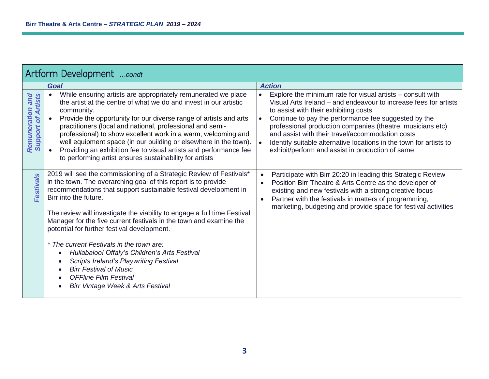| Artform Development condt                                  |                                                                                                                                                                                                                                                                                                                                                                                                                                                                                                                                                                                                                                                                                                                   |                                                                                                                                                                                                                                                                                                                                                                                                                                                                                                                    |
|------------------------------------------------------------|-------------------------------------------------------------------------------------------------------------------------------------------------------------------------------------------------------------------------------------------------------------------------------------------------------------------------------------------------------------------------------------------------------------------------------------------------------------------------------------------------------------------------------------------------------------------------------------------------------------------------------------------------------------------------------------------------------------------|--------------------------------------------------------------------------------------------------------------------------------------------------------------------------------------------------------------------------------------------------------------------------------------------------------------------------------------------------------------------------------------------------------------------------------------------------------------------------------------------------------------------|
|                                                            | <b>Goal</b>                                                                                                                                                                                                                                                                                                                                                                                                                                                                                                                                                                                                                                                                                                       | <b>Action</b>                                                                                                                                                                                                                                                                                                                                                                                                                                                                                                      |
| <b>on and</b><br>Artists<br>Remuneration<br>of.<br>Support | While ensuring artists are appropriately remunerated we place<br>the artist at the centre of what we do and invest in our artistic<br>community.<br>Provide the opportunity for our diverse range of artists and arts<br>practitioners (local and national, professional and semi-<br>professional) to show excellent work in a warm, welcoming and<br>well equipment space (in our building or elsewhere in the town).<br>Providing an exhibition fee to visual artists and performance fee<br>to performing artist ensures sustainability for artists                                                                                                                                                           | Explore the minimum rate for visual artists – consult with<br>$\bullet$<br>Visual Arts Ireland – and endeavour to increase fees for artists<br>to assist with their exhibiting costs<br>Continue to pay the performance fee suggested by the<br>$\bullet$<br>professional production companies (theatre, musicians etc)<br>and assist with their travel/accommodation costs<br>Identify suitable alternative locations in the town for artists to<br>$\bullet$<br>exhibit/perform and assist in production of same |
| <b>Festivals</b>                                           | 2019 will see the commissioning of a Strategic Review of Festivals*<br>in the town. The overarching goal of this report is to provide<br>recommendations that support sustainable festival development in<br>Birr into the future.<br>The review will investigate the viability to engage a full time Festival<br>Manager for the five current festivals in the town and examine the<br>potential for further festival development.<br>* The current Festivals in the town are:<br>Hullabaloo! Offaly's Children's Arts Festival<br>$\bullet$<br><b>Scripts Ireland's Playwriting Festival</b><br><b>Birr Festival of Music</b><br>$\bullet$<br><b>OFFline Film Festival</b><br>Birr Vintage Week & Arts Festival | Participate with Birr 20:20 in leading this Strategic Review<br>Position Birr Theatre & Arts Centre as the developer of<br>existing and new festivals with a strong creative focus<br>Partner with the festivals in matters of programming,<br>$\bullet$<br>marketing, budgeting and provide space for festival activities                                                                                                                                                                                         |